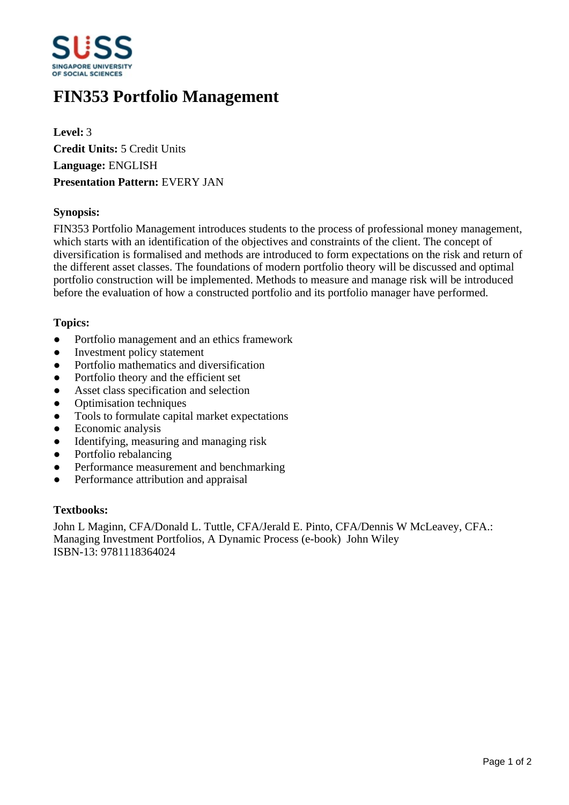

# **FIN353 Portfolio Management**

**Level:** 3 **Credit Units:** 5 Credit Units **Language:** ENGLISH **Presentation Pattern:** EVERY JAN

### **Synopsis:**

FIN353 Portfolio Management introduces students to the process of professional money management, which starts with an identification of the objectives and constraints of the client. The concept of diversification is formalised and methods are introduced to form expectations on the risk and return of the different asset classes. The foundations of modern portfolio theory will be discussed and optimal portfolio construction will be implemented. Methods to measure and manage risk will be introduced before the evaluation of how a constructed portfolio and its portfolio manager have performed.

#### **Topics:**

- Portfolio management and an ethics framework
- Investment policy statement
- Portfolio mathematics and diversification
- Portfolio theory and the efficient set
- Asset class specification and selection
- Optimisation techniques
- Tools to formulate capital market expectations
- Economic analysis
- Identifying, measuring and managing risk
- Portfolio rebalancing
- Performance measurement and benchmarking
- Performance attribution and appraisal

#### **Textbooks:**

John L Maginn, CFA/Donald L. Tuttle, CFA/Jerald E. Pinto, CFA/Dennis W McLeavey, CFA.: Managing Investment Portfolios, A Dynamic Process (e-book) John Wiley ISBN-13: 9781118364024